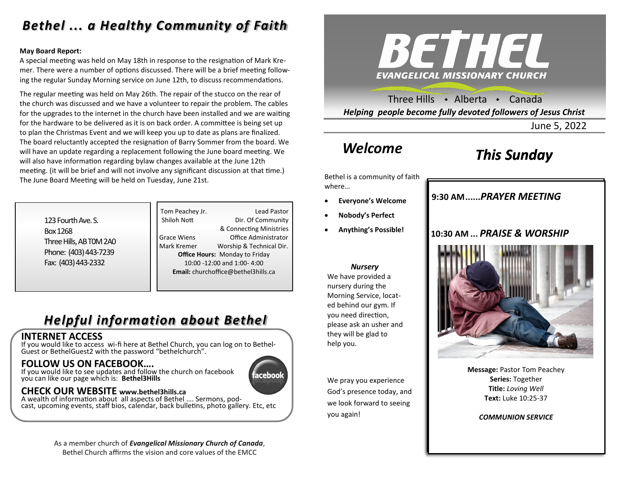# *Bethel ... a Healthy Community of Faith*

#### **May Board Report:**

A special meeting was held on May 18th in response to the resignation of Mark Kremer. There were a number of options discussed. There will be a brief meeting following the regular Sunday Morning service on June 12th, to discuss recommendations.

The regular meeting was held on May 26th. The repair of the stucco on the rear of the church was discussed and we have a volunteer to repair the problem. The cables for the upgrades to the internet in the church have been installed and we are waiting for the hardware to be delivered as it is on back order. A committee is being set up to plan the Christmas Event and we will keep you up to date as plans are finalized. The board reluctantly accepted the resignation of Barry Sommer from the board. We will have an update regarding a replacement following the June board meeting. We will also have information regarding bylaw changes available at the June 12th meeting. (it will be brief and will not involve any significant discussion at that time.) The June Board Meeting will be held on Tuesday, June 21st.

| 123 Fourth Ave. S.      |
|-------------------------|
| Box 1268                |
| Three Hills, AB TOM 2A0 |
| Phone: (403) 443-7239   |
| Fax: (403) 443-2332     |

Tom Peachey Jr. **Lead Pastor** Shiloh Nott Dir. Of Community & Connecting Ministries Grace Wiens Office Administrator Mark Kremer Worship & Technical Dir. **Office Hours:** Monday to Friday 10:00 -12:00 and 1:00- 4:00 **Email:** churchoffice@bethel3hills.ca

# *Helpful information about Bethel*

#### **INTERNET ACCESS**

If you would like to access wi-fi here at Bethel Church, you can log on to Bethel-Guest or BethelGuest2 with the password "bethelchurch".

### **FOLLOW US ON FACEBOOK….**

If you would like to see updates and follow the church on facebook you can like our page which is: **Bethel3Hills**

# ıceboo

### **CHECK OUR WEBSITE www.bethel3hills.ca**

A wealth of information about all aspects of Bethel …. Sermons, podcast, upcoming events, staff bios, calendar, back bulletins, photo gallery. Etc, etc

> As a member church of *Evangelical Missionary Church of Canada*, Bethel Church affirms the vision and core values of the EMCC



Three Hills  $\rightarrow$  Alberta  $\rightarrow$  Canada *Helping people become fully devoted followers of Jesus Christ*

June 5, 2022

# *Welcome*

# *This Sunday*

Bethel is a community of faith where…

- **Everyone's Welcome**
- **Nobody's Perfect**
- **Anything's Possible!**

#### *Nursery*

We have provided a nursery during the Morning Service, located behind our gym. If you need direction, please ask an usher and they will be glad to help you.

We pray you experience God's presence today, and we look forward to seeing you again!

### **9:30 AM......***SUNDAY SCHOOL* **9:30 AM......***PRAYER MEETING*

### **10:30 AM ...** *PRAISE & WORSHIP*



**Message:** Pastor Tom Peachey **Series:** Together **Title:** *Loving Well* **Text:** Luke 10:25-37

*COMMUNION SERVICE*